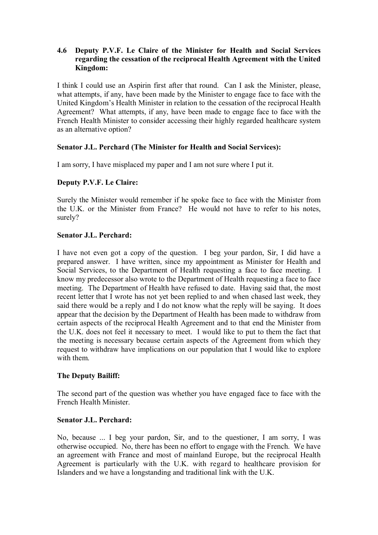### **4.6** � **Deputy P.V.F. Le Claire of the Minister for Health and Social Services regarding the cessation of the reciprocal Health Agreement with the United Kingdom:**

I think I could use an Aspirin first after that round. Can I ask the Minister, please, what attempts, if any, have been made by the Minister to engage face to face with the United Kingdom's Health Minister in relation to the cessation of the reciprocal Health Agreement? What attempts, if any, have been made to engage face to face with the French Health Minister to consider accessing their highly regarded healthcare system as an alternative option?

# **Senator J.L. Perchard (The Minister for Health and Social Services):**

I am sorry, I have misplaced my paper and I am not sure where I put it.

## **Deputy P.V.F. Le Claire:**

Surely the Minister would remember if he spoke face to face with the Minister from the U.K. or the Minister from France? He would not have to refer to his notes, surely?

### **Senator J.L. Perchard:**

I have not even got a copy of the question. I beg your pardon, Sir, I did have a prepared answer. I have written, since my appointment as Minister for Health and Social Services, to the Department of Health requesting a face to face meeting. I know my predecessor also wrote to the Department of Health requesting a face to face meeting. The Department of Health have refused to date. Having said that, the most recent letter that I wrote has not yet been replied to and when chased last week, they said there would be a reply and I do not know what the reply will be saying. It does appear that the decision by the Department of Health has been made to withdraw from certain aspects of the reciprocal Health Agreement and to that end the Minister from the U.K. does not feel it necessary to meet. I would like to put to them the fact that the meeting is necessary because certain aspects of the Agreement from which they request to withdraw have implications on our population that I would like to explore with them.

## **The Deputy Bailiff:**

The second part of the question was whether you have engaged face to face with the French Health Minister.

## **Senator J.L. Perchard:**

No, because ... I beg your pardon, Sir, and to the questioner, I am sorry, I was otherwise occupied. No, there has been no effort to engage with the French. We have an agreement with France and most of mainland Europe, but the reciprocal Health Agreement is particularly with the U.K. with regard to healthcare provision for Islanders and we have a longstanding and traditional link with the U.K.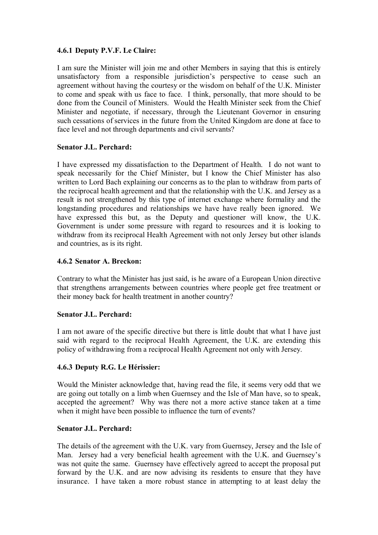## **4.6.1 Deputy P.V.F. Le Claire:**

I am sure the Minister will join me and other Members in saying that this is entirely unsatisfactory from a responsible jurisdiction's perspective to cease such an agreement without having the courtesy or the wisdom on behalf of the U.K. Minister to come and speak with us face to face. I think, personally, that more should to be done from the Council of Ministers. Would the Health Minister seek from the Chief Minister and negotiate, if necessary, through the Lieutenant Governor in ensuring such cessations of services in the future from the United Kingdom are done at face to face level and not through departments and civil servants?

## **Senator J.L. Perchard:**

I have expressed my dissatisfaction to the Department of Health. I do not want to speak necessarily for the Chief Minister, but I know the Chief Minister has also written to Lord Bach explaining our concerns as to the plan to withdraw from parts of the reciprocal health agreement and that the relationship with the U.K. and Jersey as a result is not strengthened by this type of internet exchange where formality and the longstanding procedures and relationships we have have really been ignored. We have expressed this but, as the Deputy and questioner will know, the U.K. Government is under some pressure with regard to resources and it is looking to withdraw from its reciprocal Health Agreement with not only Jersey but other islands and countries, as is its right.

## **4.6.2 Senator A. Breckon:**

Contrary to what the Minister has just said, is he aware of a European Union directive that strengthens arrangements between countries where people get free treatment or their money back for health treatment in another country?

#### **Senator J.L. Perchard:**

I am not aware of the specific directive but there is little doubt that what I have just said with regard to the reciprocal Health Agreement, the U.K. are extending this policy of withdrawing from a reciprocal Health Agreement not only with Jersey.

## **4.6.3 Deputy R.G. Le Hérissier:**

Would the Minister acknowledge that, having read the file, it seems very odd that we are going out totally on a limb when Guernsey and the Isle of Man have, so to speak, accepted the agreement? Why was there not a more active stance taken at a time when it might have been possible to influence the turn of events?

#### **Senator J.L. Perchard:**

The details of the agreement with the U.K. vary from Guernsey, Jersey and the Isle of Man. Jersey had a very beneficial health agreement with the U.K. and Guernsey's was not quite the same. Guernsey have effectively agreed to accept the proposal put forward by the U.K. and are now advising its residents to ensure that they have insurance. I have taken a more robust stance in attempting to at least delay the